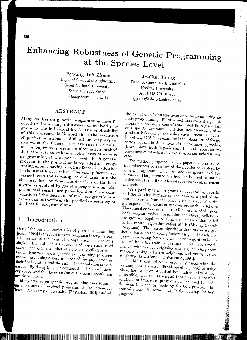# Enhancing Robustness of Genetic Programming **at the Species Level**

Byoung-Tak Zhang

Dept. of Computer Engineering Seoul National University Seoul 151-742, Korea btzhang@comp.snu.ac.kr

# ABSTRACT

Many studies on genetic programming have focused on improving robustness of evolved programs at the individual level. The applicability of this approach is limited since the evolution of perfect solutions is difficult or very expensive when the fitness cases are sparse or noisy. In this paper we present an alternative method that attempts to enhance robustness of genetic programming at the species level. Each genetic program in the population is regarded as a cooperating expert having a voting factor in addition to the usual fitness value. The voting factors are learned from the training set and used to make the final decision from the decisions of the best *n* experts evolved by genetic programming. Experimental results are provided that show combination of the decisions of multiple genetic programs can outperform the predictive accuracy of the best fit program alone.

#### Introduction 1

One of the basic characteristics of genetic programming [Koza, 1992] is that it discovers programs through a parallel search on the basis of a population, instead of a single individual. As a byproduct of population-based search, one gets a number of potentially effective solutions. However, most genetic programming processes thoose just a single best member of the population as their final solution and the rest of the population are discarded. By doing this, the computation time and mem**ory** space used for the evolution of the entire population away.

Many studies on genetic programming have focused **n** robustness of evolved programs at the individual level. For example, Reynolds [Reynolds, 1994] studied

Je-Gun Joung Dept. of Computer Engineering Konkuk University Seoul 143-701, Korea jgjoung@pluto.konkuk.ac.kr

the evolution of obstacle avoidance behavior using genetic programming. He observed that even if a genetic program successfully controls the robot for a given task on a specific environment, it does not necessarily show a robust behavior on the other environment. Ito et a!. [Ito et al., 1996] have examined the robustness of the genetic programs in the context of the box moving problem [Koza, 1992]. Both Reynolds and Ito et al. report an improvement of robustness by evolving on perturbed fitness cases.

The method proposed in this paper involves collective robustness of a subset of the population evolved by genetic programming, i.e. we address species-level robustness. The presented method can be used in combination with the individual-level robustness enhancement methods.

We regard genetic programs as cooperating experts and the decision is made on the basis of a pool of the best  $n$  experts from the population, instead of a single expert. The decision making proceeds as follows: The same fitness case is fed to all programs of the *pool.*  Each program makes a prediction and these predictions are grouped together to form the instance that is fed to the master algorithm called MGP (Mixing Genetic Programs). The master algorithm then makes its prediction based on the voting factors assigned to each program. The voting factors of the master algorithm is calculated from the training examples. We have experimented with various weighting schemes, including naive majority voting, additive weighting, and multiplicative weighting [Littlestone and Warmuth, 1994].

The MGP method seems especially useful when the training data is sparse [Frankone et al., 1996] or noisy where the evolution of perfect best individual is almost impossible. The results suggest that a set of imperfect solutions or immature programs can be used to make decisions that can be made by the best program theoretically possible, without explicitly evolving the best **program**.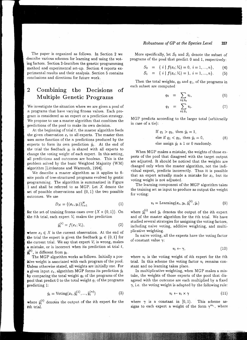The paper is organized as follows. In Section 2 we describe various schemes for learning and using the voting factors. Section 3 describes the genetic programming method and experimental set-up. Section 4 reports experimental results and their analysis. Section 5 contains conclusions and directions for future work.

#### $\overline{2}$ Combining the Decisions of Multiple Genetic Programs

We investigate the situation where we are given a pool of *n* programs that have varying fitness values. Each program is considered as an expert or a prediction strategy. We propose to use a master algorithm that combines the predictions of the pool to make its own decision.

At the beginning of trial *t,* the master algorithm feeds the given observation  $x_t$  to all experts. The master then uses some function of the *n* predictions produced by the experts to form its own prediction  $\hat{y}_t$ . At the end of the trial the feedback  $y_t$  is shared with all experts to change the voting weight of each expert. In this setting, all predictions and outcomes are boolean. This is the problem solved by the basic Weighted Majority (WM) algorithm (Littlestone and Warmuth, 1994].

We describe a master algorithm as it applies to finite pools of tree-structured programs evolved by gentic programming. The algorithm is summarized in Figure 1 and shall be referred to as MGP. Let X denote the set of possible observations and  $\{0, 1\}$  the two possible outcomes. We use

$$
D_N = \{ (x_t, y_t) \}_{t=1}^N
$$
 (1)

for the set of training fitness cases over  $(X \times \{0,1\})$ . On the tth trial, each expert  $V_i$  makes the prediction

$$
\tilde{y}_t^{(i)} = f(x_t; V_i),\tag{2}
$$

where  $x_t \in X$  is the current observation. At the end of the trial the expert is given the feedback  $y_t \in \{0, 1\}$  for the current trial. We say that expert  $V_i$  is wrong, makes a mistake, or is incorrect when its prediction at trial *t,*   $\tilde{y}_t^{(i)}$ , is different from  $y_t$ .

The MGP algorithm works as follows. Initially a positive weight is associated with each program of the pool. Unless otherwise stated, all weights are initially one. For **a** given input  $x_t$ , algorithm MGP forms its prediction  $\hat{y}_t$ by comparing the total weight *q0* of the programs of the pool that predict 0 to the total weight  $q_1$  of the programs predicting 1:

$$
\hat{y}_t = \text{Voting}(x_t, \tilde{y}_t^{(1)}, \dots, \tilde{y}_t^{(n)})
$$
\n(3)

where  $\tilde{y}_t^{(i)}$  denotes the output of the *i*th expert for the tth trial.

More specifically, let  $S_0$  and  $S_1$  denote the subset of programs of the pool that predict 0 and 1, respectively:

$$
S_0 = \{ i \mid f(x_t; V_i) = 0, i = 1, ..., n \}, \qquad (4)
$$

$$
S_1 = \{ i \mid f(x_i; V_i) = 1, i = 1, ..., n \}.
$$
 (5)

Then the total weights,  $q_0$  and  $q_1$ , of the programs in each subset are computed

$$
q_0 = \sum_{i \in S_0} v_i, \qquad (6)
$$

$$
q_1 = \sum_{i \in S_1} v_i. \tag{7}
$$

MGP predicts according to the larger total (arbitrarily in case of a tie):

If 
$$
q_1 > q_0
$$
, then  $\hat{y}_t = 1$ ,  
else if  $q_1 < q_0$ , then  $\hat{y}_t = 0$ ,  
else assign  $\hat{y}_t$  a 1 or 0 randomly.

When MGP makes a mistake, the weights of those experts of the pool that disagreed with the target output are adjusted. It should be noticed that the weights are changed only when the master algorithm, not the individual expert, predicts incorrectly. Thus it is possible that an expert actually made a mistake for  $x_t$ , but its voting weight is not adjusted.

The learning component of the MGP algorithm takes the training set as input to produce as output the weight for voting:

$$
v_i = \text{Learning}(x_t, y_t, \tilde{y}_t^{(i)}, \hat{y}_t)
$$
\n
$$
(9)
$$

where  $\tilde{y}^{(i)}_t$  and  $\hat{y}_t$  denotes the output of the *i*th expert and of the master algorithm for the tth trial. We have studied several strategies for assigning the voting factors, including naive voting, additive weighting, and multiplicative weighting.

In naive voting, all the experts have the voting factor of constant value  $\gamma$ :

$$
v_i \leftarrow \gamma,\tag{10}
$$

where  $v_i$  is the voting weight of ith expert for the tth trial. In this scheme the voting factor  $v_i$  remains constant and no learning takes place.

In multiplicative weighting, when MGP makes a mistake, the weights of those experts of the pool that disagreed with the outcome are each multiplied by a fixed  $\gamma$ , i.e. the voting weight is adapted by the following rule:

$$
v_i \leftarrow v_i \times \gamma \tag{11}
$$

where  $\gamma$  is a constant in [0, 1]. This scheme assigns to each expert a weight of the form  $\gamma^{m_i}$ , where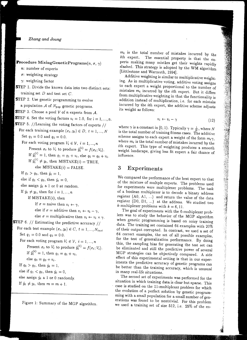*Zhang and Joung* 

 $\textbf{Procedure} \text{ MixingGeneticPrograms}(n, \sigma, \, \gamma)$ 

- n: number of experts
- $\sigma$ : weighting strategy
- $\gamma$ : weighting factor
- STEP 1. Divide the known data into two distinct sets: training set  $D$  and test set  $C$ .
- **STEP 2.** Use genetic programming to evolve a population *A* of *Npop* genetic programs.

**STEP** 3. Choose a pool  $V$  of *n* experts from  $A$ .

- **STEP 4.** Set the voting factors  $v_i = 1.0$ , for  $i = 1, ..., n$ .
- STEP 5. //Learning the voting factors of experts //
- For each training example  $(x_t, y_t) \in D$ ,  $t = 1, ..., N$ Set  $q_1 = 0.0$  and  $q_0 = 0.0$ .
	- For each voting program  $V_i \in \mathcal{V}, i = 1, ..., n$ Present  $x_t$  to  $V_i$  to produce  $\tilde{y}_t^{(i)} = f(x_t; V_i)$ . If  $\tilde{y}_t^{(i)} = 1$ , then  $q_1 = q_1 + v_i$ , else  $q_0 = q_0 + v_i$ . If  $\tilde{y}_t^{(i)} \neq y_t$ , then MISTAKE(*i*) = TRUE,
		- else  $MISTAKE(i) = FALSE$ .

If  $q_1 > q_0$ , then  $\hat{y}_t = 1$ ,

else if  $q_1 < q_0$ , then  $\hat{y}_t = 0$ ,

else assign  $\hat{y}_t$  a 1 or 0 at random.

- If  $\hat{y}_t \neq y_t$ , then for  $i = 1, ..., n$ 
	- If  $MISTAKE(i)$ , then

If  $\sigma$  = naive then  $v_i \leftarrow \gamma$ , else if  $\sigma$  = additive then  $v_i \leftarrow v_i - \gamma$ ,

- else  $\sigma =$  multiplicative then  $v_i \leftarrow v_i \times \gamma$ .
- **STEP** 6.  $//$  Estimating the predictive accuracy  $//$
- For each test example  $(x_t, y_t) \in C$ ,  $t = 1, ..., N_{test}$ Set  $q_1 = 0.0$  and  $q_0 = 0.0$ .
	- For each voting program  $V_i \in \mathcal{V}, i = 1, ..., n$ Present  $x_t$  to  $V_i$  to produce  $\tilde{y}_t^{(i)} = f(x_t; V_i)$ . If  $\tilde{y}_{t}^{(i)} = 1$ , then  $q_1 = q_1 + v_i$ , else  $q_0 = q_0 + v_i$ . If  $q_1 > q_0$ , then  $\hat{y}_t = 1$ ,

else if  $q_1 < q_0$ , then  $\hat{y}_t = 0$ ,

else assign  $\hat{y}_t$  a 1 or 0 randomly.

If  $\hat{y}_t \neq y_t$ , then  $m = m + 1$ .

Figure 1: Summary of the MGP algorithm.

 $m_i$  is the total number of mistakes incurred by the ith expert. The essential property is that the experts making many mistkes get their weights rapidly slashed. This strategy is adopted by the WM algorithm [Littlestone and Warmuth, 1994].

Additive weighting is similar to multiplicative weighting. As in multiplicative voting, additive voting assigns to each expert a weight proportional to the number of mistakes  $m_i$  incurred by the *i*th expert. But it differs from multiplicative weighting in that the functionality is addition instead of multiplication, i.e. for each mistake incurred by the ith expert, the additive scheme adjusts its weight as follows:

$$
v_i \leftarrow v_i - \gamma \tag{12}
$$

where  $\gamma$  is a constant in [0, 1). Typically  $\gamma = \frac{1}{N}$ , where N is the total number of training fitness cases. The additive scheme assigns to each expert a weight of the form  $m_i\gamma$ , where  $m_i$  is the total number of mistakes incurred by the ith expert. This type of weighting produces a smooth weight landscape, giving less fit expert a fair chance of influence.

# 3 Experiments

We compared the performance of the best expert to that of the mixture of multple experts. The problems used for experiments were multiplexer problems. The task of a boolean multiplexer is to decode a binary address register  $(A0, A1, ...)$  and return the value of the data register (D0, D1, ...) at the address. We studied two  $k$ -multiplexer problems with  $k = 6, 11$ .

The goal of experiments with the 6-multiplexer problem was to study the behavior of the MGP algorithm when genetic programming is based on noisy training data. The training set contained 64 examples with 20% of their output corrupted. In contrast, we used a set of 64 correct examples, the set of all possible examples, for the test of generalization performance. By doing this, the sampling bias for generating the test set can be eliminated and still the predictive power of several MGP strategies can be objectively compared. A side effect of this experimental setting is that in our experiments the predictive accuracy of genetic programs can be better than the training accuracy, which is unusual in many real-life situations.

The second set of experiments was performed for the situation in which training data is clear but sparse. This case is studied on the 11-multiplexer problem for which the evolution of a perfect solution by genetic programming with a small population for a small number of generations was found to be nontrivial. For this problem we used a training set of size 512, i.e. 25% of the en-

 $\frac{1}{2}$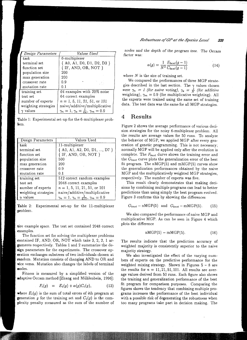| Design Parameters    | Values Used                                                   |  |  |
|----------------------|---------------------------------------------------------------|--|--|
| task                 | 6-multiplexer                                                 |  |  |
| terminal set         | $\{A0, A1, D0, D1, D2, D3\}$                                  |  |  |
| function set         | { IF, AND, OR, NOT }                                          |  |  |
| population size      | 200                                                           |  |  |
| max generation       | 200                                                           |  |  |
| crossover rate       | 0. ዓ                                                          |  |  |
| mutation rate        | 0.1                                                           |  |  |
| training set         | 64 examples with 20% noise                                    |  |  |
| test set             | 64 correct examples                                           |  |  |
| number of experts    | $n = 1, 5, 11, 21, 51,$ or 101                                |  |  |
| weighting strategies | naive/additive/multiplicative                                 |  |  |
| values               | $\gamma_n = 1, \, \gamma_a = \frac{1}{64}, \, \gamma_m = 0.9$ |  |  |

|      | Table 1: Experimental set-up for the 6-multiplexer prob- |  |  |
|------|----------------------------------------------------------|--|--|
| lem. |                                                          |  |  |

| Design Parameters    | Values Used                                              |
|----------------------|----------------------------------------------------------|
| task                 | 11-multiplexer                                           |
| terminal set         | $\{ A0, A1, A2, D0, D1, , D7 \}$                         |
| function set         | $\{$ IF, AND, OR, NOT $\}$                               |
| population size      | 500                                                      |
| max generation       | 200                                                      |
| crossover rate       | 0.9                                                      |
| mutation rate        | 0.1                                                      |
| training set         | 512 correct random examples                              |
| test set             | 2048 correct examples                                    |
| number of experts    | $n = 1, 5, 11, 21, 51,$ or 101                           |
| weighting strategies | naive/additive/multiplicative                            |
| values               | $\gamma_n = 1, \gamma_a = \frac{1}{512}, \gamma_m = 0.9$ |

Table 2: Experimental set-up for the 11-multiplexer problem.

tire example space. The test set contained 2048 correct examples.

The function set for solving the multiplexer problems contained IF, AND, OR, NOT which take 3, 2, 2, 1 arguments respectively. Tables 1 and 2 summarize the design parameters for the experiments. The crossover operation exchanges substrees of two individuals chosen at random. Mutation consists of changing AND to OR and vice versa. Mutation also changes the labels of terminal nodes.

Fitness is measured by a simplified version of the adaptive Occam method [Zhang and Miihlenbein, 1996]:

$$
F_i(g) = E_i(g) + \alpha(g)C_i(g), \qquad (13)
$$

where  $E_i(g)$  is the sum of total errors of *i*th program at **generation** g for the training set and  $C_i(g)$  is the complexity penalty measured as the sum of the number of

*nodes and the depth* of *the* program *tree. The Occam*  factor was:

$$
\alpha(g) = \frac{1}{N^2} \frac{E_{best}(g-1)}{C_{best}(g-1)}\tag{14}
$$

where *N* is the size of training set.

We compared the performances of three MGP strategies described in the last section. The  $\gamma$  values chosen *were*  $\gamma_n = 1$  (for naive voting),  $\gamma_a = \frac{1}{N}$  (for additive weighting),  $\gamma_m = 0.9$  (for multiplicative weighting). All the experts were trained using the *same* set of training data. The test data was the same for all MGP strategies.

### **4 Results**

Figure 2 shows the average performance of various decision strategies for the noisy 6-multiplexer problem. All the results are average values for 50 runs. To analyze the behavior of MGP, we applied MGP after every generation of genetic programming. This is not necessary; normally MGP will be applied only after the evolution is complete. The *Fbest* durve shows the training error and the *Gbest* curve plots the generalization error of the best fit program. The nMGP(5) and mMGP(5) curves show the generalization performances obtained by the naive MGP and the multiplicatively weighted MGP strategies, respectively. The number of experts was five.

This result clearly demonstrates that making decisions by combining multiple programs can lead to better predictions than using simply the best program evolved. Figure 3 confirms this by showing the differences

$$
G_{best} - nMGP(5) \text{ and } G_{best} - mMGP(5). \tag{15}
$$

We also compared the performance of naive MGP and multiplicative MGP. As can be seen in Figure 4 which plots the difference

$$
nMGP(5) - mMGP(5). \tag{16}
$$

The results indicate that the prediction accuracy of weighted majority is consistently superior to the naive majority strategy.

We also investigated the effect of the varying numbers of experts on the predictive performance for the weighted mixing strategy. Shown in Figures  $5 - 8$  are the results for  $n = 11, 21, 51, 101$ . All results are average values derived from 50 runs. Each figure also shows the training and generalization performance of the best fit program for comparison purposes. Comparing the figures shows the tendency that combining multiple programs increases the performance of the best individual with a possible risk of degenerating the robustness when too many programs take part in decision making. The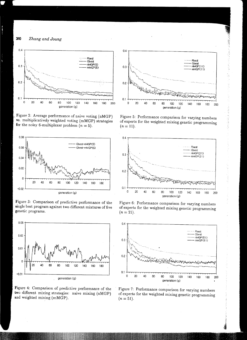*Zhang and Joung* 



Figure 2: Average performance of naive voting (nMGP) **vs.** multiplicatively weighted voting (mMGP) strategies **for** the noisy 6-multiplexer problem  $(n = 5)$ .



Figure 3: Comparison of predictive performance of the single best program against two different mixtures of five genetic programs.



Figure 4: Comparison of predictive performance of the **two** different mixing strategies: naive mixing (nMGP) and weighted mixing (mMGP).



医心理病

artistica de la San

Figure 5: Performance comparison for varying numbers ofexperts for the weighted mixing genetic programming  $(n = 11).$ 



Figure 6: Performance comparison for varying numbers of experts for the weighted mixing genetic programming  $(n=21)$ .



Figure 7: Performance comparison for varying numbers of experts for the weighted mixing genetic programming  $(n = 51).$ 

340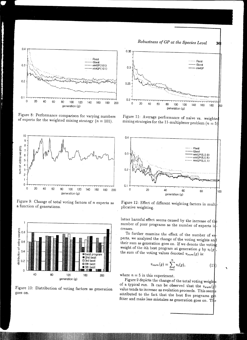

Figure 8: Performance comparison for varying numbers of experts for the weighted mixing strategy  $(n = 101)$ .



Figure 9: Change of total voting factors of *n* experts as a function of generations.



Figure 10: Distribution of voting factors as generation goes on.





Figure 11: Average performance of naive vs. weighte mixing strategies for the 11-multiplexer problem ( $n = 5$ ).



Figure 12: Effect of different weighting factors in  $mult$ plicative weighting.

latter harmful effect seems caused by the increase of the number of poor programs as the number of experts in creases.

To further examine the effect of the number of e perts, we analyzed the change of the voting weights an their sum as generation goes on. If we denote the voting weight of the *i*th best program at generation  $g$  by  $v_i(g)$ the sum of the voting values denoted  $v_{sum}(g)$  is:

$$
v_{sum}(g) = \sum_{i=1}^{n} v_i(g), \qquad (17)
$$

'

where  $n = 5$  in this experiment.

Figure 9 depicts the change of the total voting weights of a typical run. It can be observed that the  $v_{sum}(q)$ value tends to increase as evolution proceeds. This seems attributed to the fact that the best five programs  $g_t$ t fitter and make less mistakes as generation goes on. The